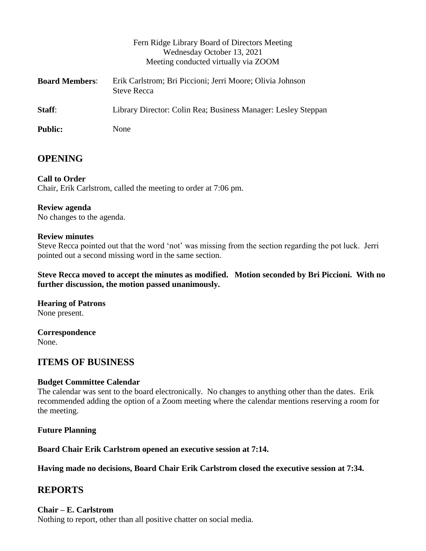|                       | Fern Ridge Library Board of Directors Meeting<br>Wednesday October 13, 2021<br>Meeting conducted virtually via ZOOM |
|-----------------------|---------------------------------------------------------------------------------------------------------------------|
| <b>Board Members:</b> | Erik Carlstrom; Bri Piccioni; Jerri Moore; Olivia Johnson<br><b>Steve Recca</b>                                     |
| Staff:                | Library Director: Colin Rea; Business Manager: Lesley Steppan                                                       |
| <b>Public:</b>        | None                                                                                                                |

# **OPENING**

**Call to Order** Chair, Erik Carlstrom, called the meeting to order at 7:06 pm.

#### **Review agenda**

No changes to the agenda.

#### **Review minutes**

Steve Recca pointed out that the word 'not' was missing from the section regarding the pot luck. Jerri pointed out a second missing word in the same section.

**Steve Recca moved to accept the minutes as modified. Motion seconded by Bri Piccioni. With no further discussion, the motion passed unanimously.**

**Hearing of Patrons** None present.

**Correspondence** None.

# **ITEMS OF BUSINESS**

#### **Budget Committee Calendar**

The calendar was sent to the board electronically. No changes to anything other than the dates. Erik recommended adding the option of a Zoom meeting where the calendar mentions reserving a room for the meeting.

**Future Planning**

**Board Chair Erik Carlstrom opened an executive session at 7:14.**

**Having made no decisions, Board Chair Erik Carlstrom closed the executive session at 7:34.**

# **REPORTS**

#### **Chair – E. Carlstrom**

Nothing to report, other than all positive chatter on social media.